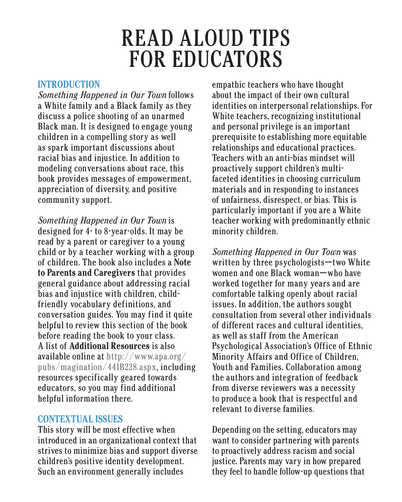# READ ALOUD TIPS FOR EDUCATORS

#### **INTRODUCTION**

*Something Happened in Our Town* follows a White family and a Black family as they discuss a police shooting of an unarmed Black man. It is designed to engage young children in a compelling story as well as spark important discussions about racial bias and injustice. In addition to modeling conversations about race, this book provides messages of empowerment, appreciation of diversity, and positive community support.

*Something Happened in Our Town* is designed for 4- to 8-year-olds. It may be read by a parent or caregiver to a young child or by a teacher working with a group of children. The book also includes a **Note to Parents and Caregivers** that provides general guidance about addressing racial bias and injustice with children, childfriendly vocabulary definitions, and conversation guides. You may find it quite helpful to review this section of the book before reading the book to your class. A list of **Additional Resources** is also available online at http://www.apa.org/ pubs/magination/441B228.aspx, including resources specifically geared towards educators, so you may find additional helpful information there.

### **CONTEXTUAL ISSUES**

This story will be most effective when introduced in an organizational context that strives to minimize bias and support diverse children's positive identity development. Such an environment generally includes

empathic teachers who have thought about the impact of their own cultural identities on interpersonal relationships. For White teachers, recognizing institutional and personal privilege is an important prerequisite to establishing more equitable relationships and educational practices. Teachers with an anti-bias mindset will proactively support children's multifaceted identities in choosing curriculum materials and in responding to instances of unfairness, disrespect, or bias. This is particularly important if you are a White teacher working with predominantly ethnic minority children.

*Something Happened in Our Town* was written by three psychologists—two White women and one Black woman—who have worked together for many years and are comfortable talking openly about racial issues. In addition, the authors sought consultation from several other individuals of different races and cultural identities, as well as staff from the American Psychological Association's Office of Ethnic Minority Affairs and Office of Children, Youth and Families. Collaboration among the authors and integration of feedback from diverse reviewers was a necessity to produce a book that is respectful and relevant to diverse families.

Depending on the setting, educators may want to consider partnering with parents to proactively address racism and social justice. Parents may vary in how prepared they feel to handle follow-up questions that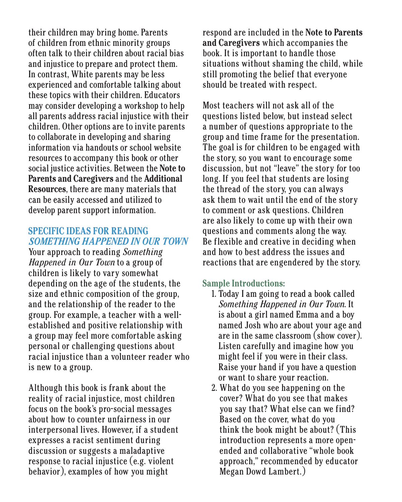their children may bring home. Parents of children from ethnic minority groups often talk to their children about racial bias and injustice to prepare and protect them. In contrast, White parents may be less experienced and comfortable talking about these topics with their children. Educators may consider developing a workshop to help all parents address racial injustice with their children. Other options are to invite parents to collaborate in developing and sharing information via handouts or school website resources to accompany this book or other social justice activities. Between the **Note to Parents and Caregivers** and the **Additional Resources**, there are many materials that can be easily accessed and utilized to develop parent support information.

## **SPECIFIC IDEAS FOR READING**  *SOMETHING HAPPENED IN OUR TOWN*

Your approach to reading *Something Happened in Our Town* to a group of children is likely to vary somewhat depending on the age of the students, the size and ethnic composition of the group, and the relationship of the reader to the group. For example, a teacher with a wellestablished and positive relationship with a group may feel more comfortable asking personal or challenging questions about racial injustice than a volunteer reader who is new to a group.

Although this book is frank about the reality of racial injustice, most children focus on the book's pro-social messages about how to counter unfairness in our interpersonal lives. However, if a student expresses a racist sentiment during discussion or suggests a maladaptive response to racial injustice (e.g. violent behavior), examples of how you might

respond are included in the **Note to Parents and Caregivers** which accompanies the book. It is important to handle those situations without shaming the child, while still promoting the belief that everyone should be treated with respect.

Most teachers will not ask all of the questions listed below, but instead select a number of questions appropriate to the group and time frame for the presentation. The goal is for children to be engaged with the story, so you want to encourage some discussion, but not "leave" the story for too long. If you feel that students are losing the thread of the story, you can always ask them to wait until the end of the story to comment or ask questions. Children are also likely to come up with their own questions and comments along the way. Be flexible and creative in deciding when and how to best address the issues and reactions that are engendered by the story.

#### **Sample Introductions:**

- 1. Today I am going to read a book called *Something Happened in Our Town*. It is about a girl named Emma and a boy named Josh who are about your age and are in the same classroom (show cover). Listen carefully and imagine how you might feel if you were in their class. Raise your hand if you have a question or want to share your reaction.
- 2. What do you see happening on the cover? What do you see that makes you say that? What else can we find? Based on the cover, what do you think the book might be about? (This introduction represents a more openended and collaborative "whole book approach," recommended by educator Megan Dowd Lambert.)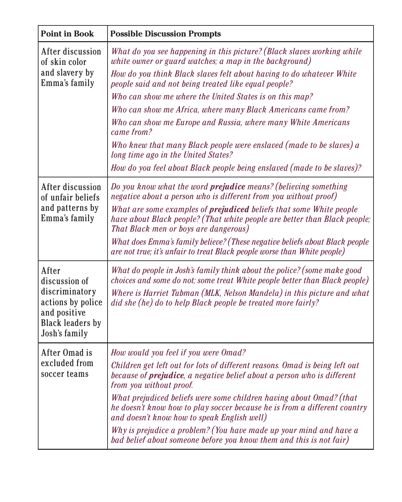| <b>Point in Book</b>                                                      | <b>Possible Discussion Prompts</b>                                                                                                                                                               |
|---------------------------------------------------------------------------|--------------------------------------------------------------------------------------------------------------------------------------------------------------------------------------------------|
| After discussion<br>of skin color<br>and slavery by<br>Emma's family      | What do you see happening in this picture? (Black slaves working while<br>white owner or guard watches; a map in the background)                                                                 |
|                                                                           | How do you think Black slaves felt about having to do whatever White<br>people said and not being treated like equal people?                                                                     |
|                                                                           | Who can show me where the United States is on this map?                                                                                                                                          |
|                                                                           | Who can show me Africa, where many Black Americans came from?                                                                                                                                    |
|                                                                           | Who can show me Europe and Russia, where many White Americans<br>came from?                                                                                                                      |
|                                                                           | Who knew that many Black people were enslaved (made to be slaves) a<br>long time ago in the United States?                                                                                       |
|                                                                           | How do you feel about Black people being enslaved (made to be slaves)?                                                                                                                           |
| After discussion<br>of unfair beliefs<br>and patterns by<br>Emma's family | Do you know what the word prejudice means? (believing something<br>negative about a person who is different from you without proof)                                                              |
|                                                                           | What are some examples of <b>prejudiced</b> beliefs that some White people<br>have about Black people? (That white people are better than Black people;<br>That Black men or boys are dangerous) |
|                                                                           | What does Emma's family believe? (These negative beliefs about Black people<br>are not true; it's unfair to treat Black people worse than White people)                                          |
| After<br>discussion of<br>discriminatory<br>actions by police             | What do people in Josh's family think about the police? (some make good<br>choices and some do not; some treat White people better than Black people)                                            |
|                                                                           | Where is Harriet Tubman (MLK, Nelson Mandela) in this picture and what<br>did she (he) do to help Black people be treated more fairly?                                                           |
| and positive<br><b>Black leaders by</b><br>Josh's family                  |                                                                                                                                                                                                  |
| After Omad is<br>excluded from<br>soccer teams                            | How would you feel if you were Omad?                                                                                                                                                             |
|                                                                           | Children get left out for lots of different reasons. Omad is being left out<br>because of <b>prejudice</b> , a negative belief about a person who is different<br>from you without proof.        |
|                                                                           | What prejudiced beliefs were some children having about Omad? (that<br>he doesn't know how to play soccer because he is from a different country<br>and doesn't know how to speak English well)  |
|                                                                           | Why is prejudice a problem? (You have made up your mind and have a<br>bad belief about someone before you know them and this is not fair)                                                        |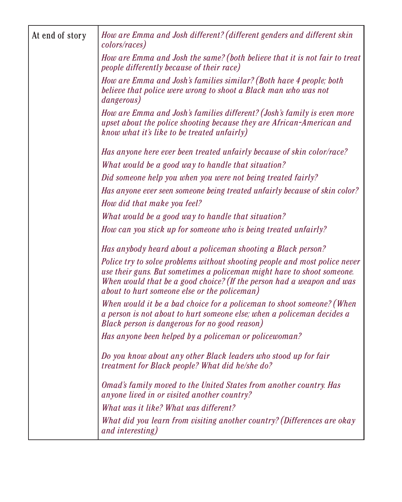| At end of story | How are Emma and Josh different? (different genders and different skin<br>colors/races)                                                                                                                                                                                       |
|-----------------|-------------------------------------------------------------------------------------------------------------------------------------------------------------------------------------------------------------------------------------------------------------------------------|
|                 | How are Emma and Josh the same? (both believe that it is not fair to treat<br><i>people differently because of their race)</i>                                                                                                                                                |
|                 | How are Emma and Josh's families similar? (Both have 4 people; both<br>believe that police were wrong to shoot a Black man who was not<br><i>dangerous</i> )                                                                                                                  |
|                 | How are Emma and Josh's families different? (Josh's family is even more<br>upset about the police shooting because they are African-American and<br>know what it's like to be treated unfairly)                                                                               |
|                 | Has anyone here ever been treated unfairly because of skin color/race?                                                                                                                                                                                                        |
|                 | What would be a good way to handle that situation?                                                                                                                                                                                                                            |
|                 | Did someone help you when you were not being treated fairly?                                                                                                                                                                                                                  |
|                 | Has anyone ever seen someone being treated unfairly because of skin color?                                                                                                                                                                                                    |
|                 | How did that make you feel?                                                                                                                                                                                                                                                   |
|                 | What would be a good way to handle that situation?                                                                                                                                                                                                                            |
|                 | How can you stick up for someone who is being treated unfairly?                                                                                                                                                                                                               |
|                 | Has anybody heard about a policeman shooting a Black person?                                                                                                                                                                                                                  |
|                 | Police try to solve problems without shooting people and most police never<br>use their guns. But sometimes a policeman might have to shoot someone.<br>When would that be a good choice? (If the person had a weapon and was<br>about to hurt someone else or the policeman) |
|                 | When would it be a bad choice for a policeman to shoot someone? (When<br>a person is not about to hurt someone else; when a policeman decides a<br>Black person is dangerous for no good reason)                                                                              |
|                 | Has anyone been helped by a policeman or policewoman?                                                                                                                                                                                                                         |
|                 | Do you know about any other Black leaders who stood up for fair<br>treatment for Black people? What did he/she do?                                                                                                                                                            |
|                 | Omad's family moved to the United States from another country. Has<br>anyone lived in or visited another country?                                                                                                                                                             |
|                 | What was it like? What was different?                                                                                                                                                                                                                                         |
|                 | What did you learn from visiting another country? (Differences are okay<br>and interesting)                                                                                                                                                                                   |